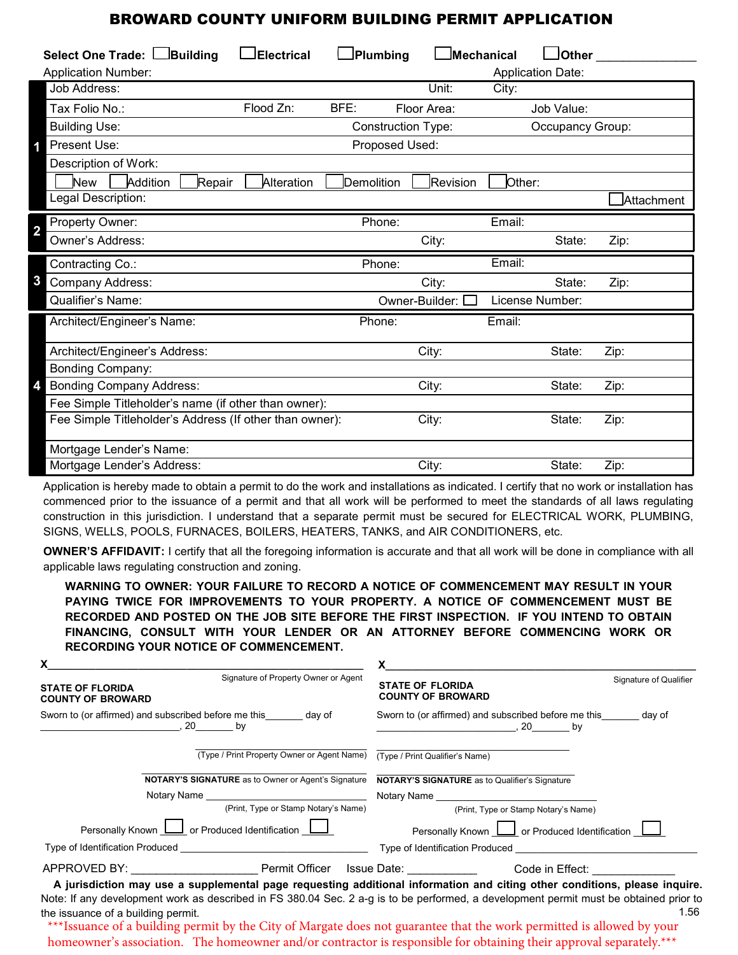## BROWARD COUNTY UNIFORM BUILDING PERMIT APPLICATION

| Select One Trade: Building<br><b>Application Number:</b> | $\bigsqcup$ Electrical | $\Box$ Plumbing           | $\Box$ Mechanical        |        | $\Box$ Other<br><b>Application Date:</b> |                    |
|----------------------------------------------------------|------------------------|---------------------------|--------------------------|--------|------------------------------------------|--------------------|
| Job Address:                                             |                        |                           | Unit:                    | City:  |                                          |                    |
| Tax Folio No.:                                           | Flood Zn:              | BFE:                      | Floor Area:              |        | Job Value:                               |                    |
| <b>Building Use:</b>                                     |                        | <b>Construction Type:</b> |                          |        | Occupancy Group:                         |                    |
| Present Use:                                             |                        | Proposed Used:            |                          |        |                                          |                    |
| Description of Work:                                     |                        |                           |                          |        |                                          |                    |
| Addition<br>New<br>Repair                                | Alteration             | Demolition                | Revision                 | Other: |                                          |                    |
| Legal Description:                                       |                        |                           |                          |        |                                          | <b>JAttachment</b> |
| Property Owner:                                          |                        | Phone:                    |                          | Email: |                                          |                    |
| $\overline{2}$<br>Owner's Address:                       |                        |                           | City:                    |        | State:                                   | Zip:               |
| Contracting Co.:                                         |                        | Phone:                    |                          | Email: |                                          |                    |
| 3<br>Company Address:                                    |                        |                           | City:                    |        | State:                                   | Zip:               |
| Qualifier's Name:                                        |                        |                           | Owner-Builder: $\square$ |        | License Number:                          |                    |
| Architect/Engineer's Name:                               |                        | Phone:                    |                          | Email: |                                          |                    |
| Architect/Engineer's Address:                            |                        |                           | City:                    |        | State:                                   | Zip:               |
| Bonding Company:                                         |                        |                           |                          |        |                                          |                    |
| <b>Bonding Company Address:</b>                          |                        |                           | City:                    |        | State:                                   | Zip:               |
| Fee Simple Titleholder's name (if other than owner):     |                        |                           |                          |        |                                          |                    |
| Fee Simple Titleholder's Address (If other than owner):  |                        |                           | City:                    |        | State:                                   | Zip:               |
| Mortgage Lender's Name:                                  |                        |                           |                          |        |                                          |                    |
| Mortgage Lender's Address:                               |                        | City:                     |                          | State: | Zip:                                     |                    |

Application is hereby made to obtain a permit to do the work and installations as indicated. I certify that no work or installation has commenced prior to the issuance of a permit and that all work will be performed to meet the standards of all laws regulating construction in this jurisdiction. I understand that a separate permit must be secured for ELECTRICAL WORK, PLUMBING, SIGNS, WELLS, POOLS, FURNACES, BOILERS, HEATERS, TANKS, and AIR CONDITIONERS, etc.

**OWNER'S AFFIDAVIT:** I certify that all the foregoing information is accurate and that all work will be done in compliance with all applicable laws regulating construction and zoning.

**WARNING TO OWNER: YOUR FAILURE TO RECORD A NOTICE OF COMMENCEMENT MAY RESULT IN YOUR PAYING TWICE FOR IMPROVEMENTS TO YOUR PROPERTY. A NOTICE OF COMMENCEMENT MUST BE RECORDED AND POSTED ON THE JOB SITE BEFORE THE FIRST INSPECTION. IF YOU INTEND TO OBTAIN FINANCING, CONSULT WITH YOUR LENDER OR AN ATTORNEY BEFORE COMMENCING WORK OR RECORDING YOUR NOTICE OF COMMENCEMENT.** 

| X                                                                                                                     |                                                                                                                                               |  |  |  |  |
|-----------------------------------------------------------------------------------------------------------------------|-----------------------------------------------------------------------------------------------------------------------------------------------|--|--|--|--|
| Signature of Property Owner or Agent<br><b>STATE OF FLORIDA</b><br><b>COUNTY OF BROWARD</b>                           | Signature of Qualifier<br><b>STATE OF FLORIDA</b><br><b>COUNTY OF BROWARD</b>                                                                 |  |  |  |  |
| Sworn to (or affirmed) and subscribed before me this day of<br>$, 20$ by                                              | Sworn to (or affirmed) and subscribed before me this day of<br>$, 20$ by                                                                      |  |  |  |  |
| (Type / Print Property Owner or Agent Name)                                                                           | (Type / Print Qualifier's Name)                                                                                                               |  |  |  |  |
| <b>NOTARY'S SIGNATURE</b> as to Owner or Agent's Signature                                                            | <b>NOTARY'S SIGNATURE</b> as to Qualifier's Signature                                                                                         |  |  |  |  |
| Notary Name and the state of the state of the state of the state of the state of the state of the state of the        | Notary Name <b>Notary</b> Name                                                                                                                |  |  |  |  |
| (Print, Type or Stamp Notary's Name)                                                                                  | (Print, Type or Stamp Notary's Name)                                                                                                          |  |  |  |  |
| Personally Known <b>LI</b> or Produced Identification <b>LI</b>                                                       | Personally Known <u>L</u> or Produced Identification                                                                                          |  |  |  |  |
| Type of Identification Produced <b>Example 20</b> North 20 No. 20 No. 20 No. 20 No. 20 No. 20 No. 20 No. 20 No. 20 No | Type of Identification Produced Type of Identification Produced                                                                               |  |  |  |  |
| APPROVED BY: ___________________________Permit Officer Issue Date: _____________ Code in Effect:                      |                                                                                                                                               |  |  |  |  |
|                                                                                                                       | A jurisdiction may use a supplemental page requesting additional information and citing other conditions, please inquire.                     |  |  |  |  |
| the issuance of a building permit.                                                                                    | Note: If any development work as described in FS 380.04 Sec. 2 a-g is to be performed, a development permit must be obtained prior to<br>1.56 |  |  |  |  |
| ***Lauguage of a building normit by the City of Margate does not guarantee that the work normitted is allowed by your |                                                                                                                                               |  |  |  |  |

Issuance of a building permit by the City of Margate does not guarantee that the work permitted is allowed by your homeowner's association. The homeowner and/or contractor is responsible for obtaining their approval separately.\*\*\*